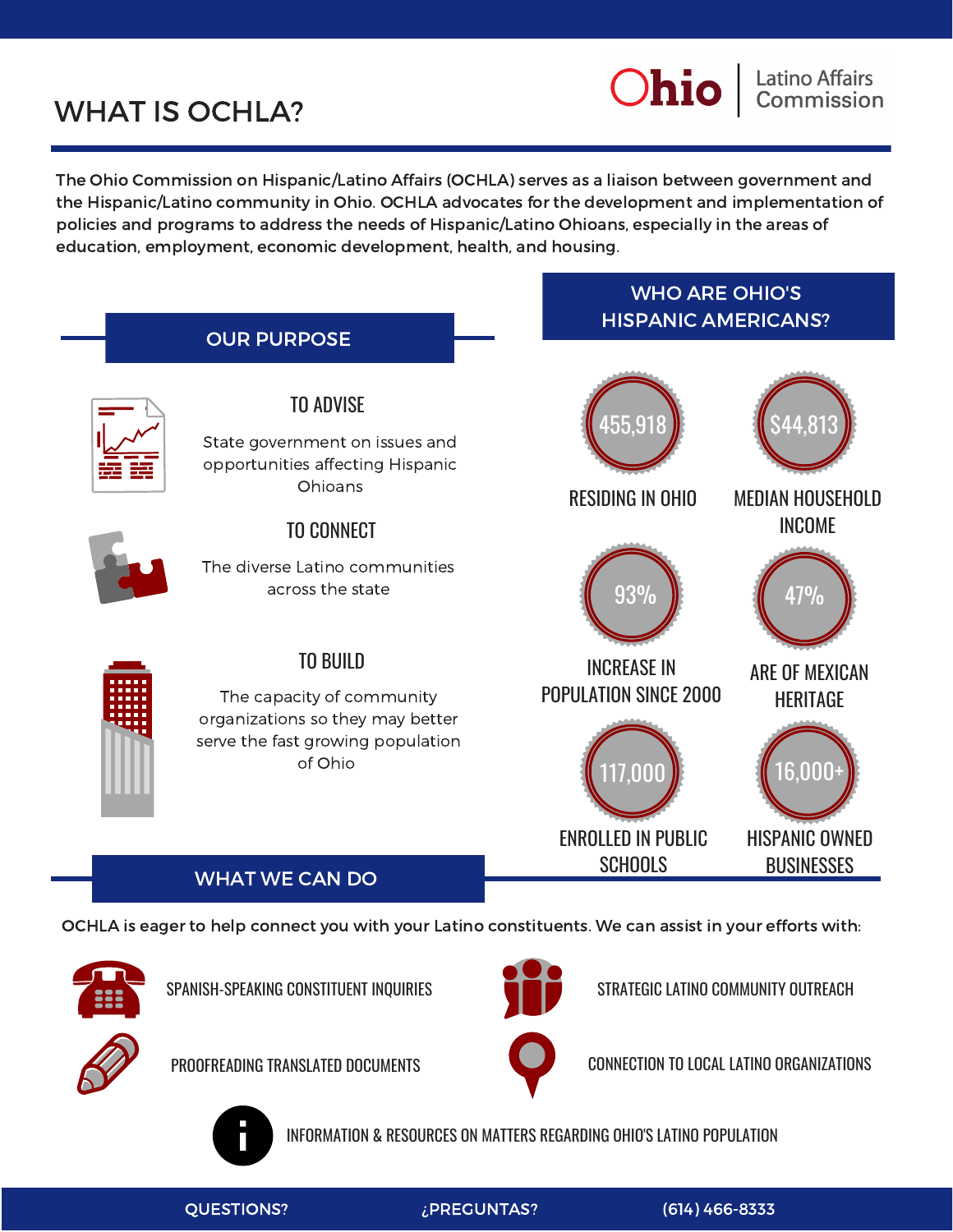## WHAT IS OCHLA?

The Ohio Commission on Hispanic/Latino Affairs (OCHLA) serves as a liaison between government and the Hispanic/Latino community in Ohio. OCHLA advocates for the development and implementation of policies and programs to address the needs of Hispanic/Latino Ohioans, especially in the areas of education, employment, economic development, health, and housing.





SPANISH-SPEAKING CONSTITUENT INQUIRIES STRATEGIC LATINO COMMUNITY OUTREACH



PROOFREADING TRANSLATED DOCUMENTS



Latino Affairs<br>Commission

**Ohio** 



CONNECTION TO LOCAL LATINO ORGANIZATIONS



INFORMATION & RESOURCES ON MATTERS REGARDING OHIO'S LATINO POPULATION

Hire Maria Maria Maria Maria Maria Maria Maria Maria Maria Maria Maria Maria Maria Maria Maria Maria Maria Mar<br>Historia

QUESTIONS? ¿PREGUNTAS? (614) 466-8333